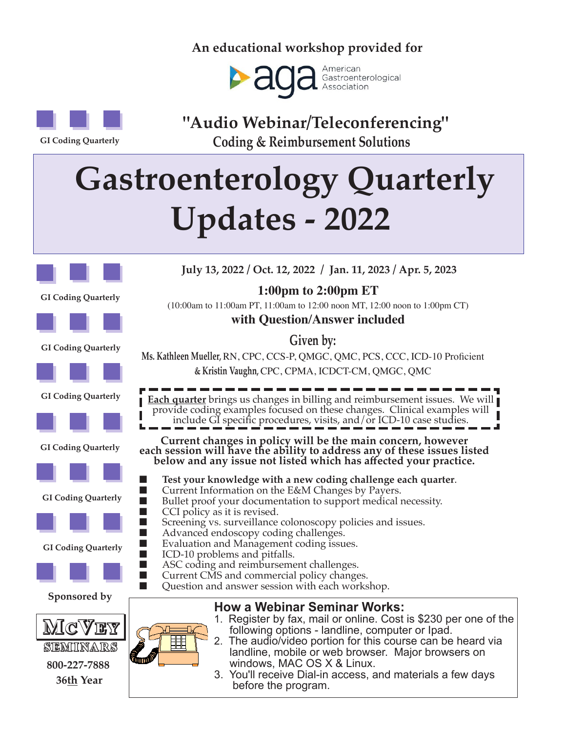### **An educational workshop provided for**



**GI Coding Quarterly**

**"Audio Webinar/Teleconferencing" Coding & Reimbursement Solutions** 

# **b Gastroenterology Quarterly Updates - 2022**



**GI Coding Quarterly**



**with Question/Answer included**

**Given by:**

**GI Coding Quarterly**







**GI Coding Quarterly**







**GI Coding Quarterly**



**Sponsored by**



#### **How a Webinar Seminar Works:**

- 1. Register by fax, mail or online. Cost is \$230 per one of the following options - landline, computer or Ipad.
- 2. The audio/video portion for this course can be heard via landline, mobile or web browser. Major browsers on windows, MAC OS X & Linux.
- 3. You'll receive Dial-in access, and materials a few days before the program.

**July 13, 2022 / Oct. 12, 2022 / Jan. 11, 2023 / Apr. 5, 2023** 

**1:00pm to 2:00pm ET** 

(10:00am to 11:00am PT, 11:00am to 12:00 noon MT, 12:00 noon to 1:00pm CT)

**Ms. Kathleen Mueller,** RN, CPC, CCS-P, QMGC, QMC, PCS, CCC, ICD-10 Proficient

**& Kristin Vaughn,** CPC, CPMA, ICDCT-CM, QMGC, QMC

**Each quarter** brings us changes in billing and reimbursement issues. We will provide coding examples focused on these changes. Clinical examples will include GI specific procedures, visits, and/or ICD-10 case studies.

**Current changes in policy will be the main concern, however each session will have the ability to address any of these issues listed below and any issue not listed which has affected your practice.**

- Test your knowledge with a new coding challenge each quarter. Current Information on the E&M Changes by Payers.
- Bullet proof your documentation to support medical necessity. CCI policy as it is revised.
- Screening vs. surveillance colonoscopy policies and issues.<br>■ Advanced endoscopy coding challenges
- Advanced endoscopy coding challenges.<br>■ Evaluation and Management coding issue
- Evaluation and Management coding issues.<br>■ ICD-10 problems and pitfalls
	- ICD-10 problems and pitfalls.
- ASC coding and reimbursement challenges.

Current CMS and commercial policy changes.

Question and answer session with each workshop.